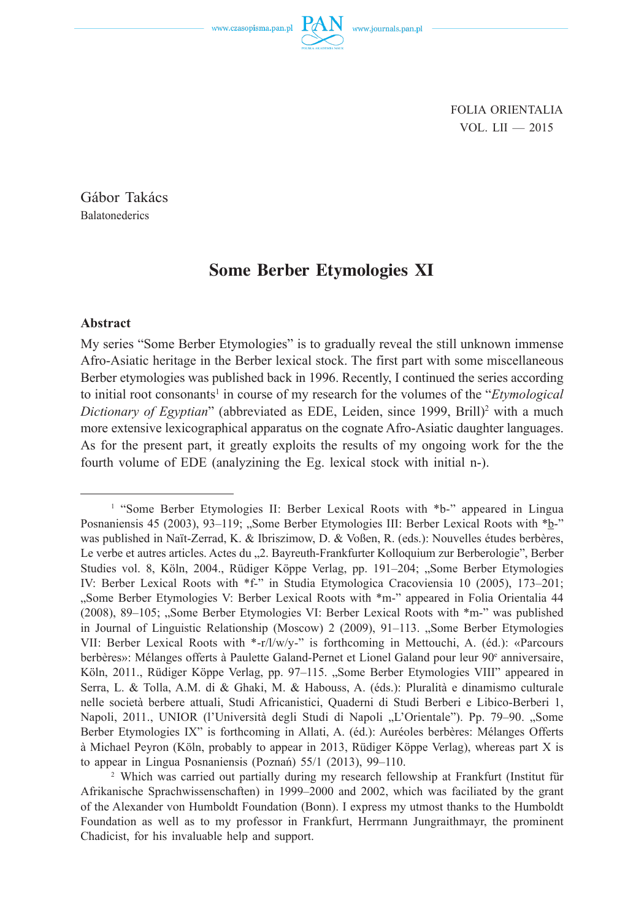www.czasopisma.pan.pl

FOLIA ORIENTALIA VOL. LII — 2015

Gábor Takács **Balatonederics** 

# **Some Berber Etymologies XI**

## **Abstract**

My series "Some Berber Etymologies" is to gradually reveal the still unknown immense Afro-Asiatic heritage in the Berber lexical stock. The first part with some miscellaneous Berber etymologies was published back in 1996. Recently, I continued the series according to initial root consonants<sup>1</sup> in course of my research for the volumes of the "*Etymological Dictionary of Egyptian*" (abbreviated as EDE, Leiden, since 1999, Brill)<sup>2</sup> with a much more extensive lexicographical apparatus on the cognate Afro-Asiatic daughter languages. As for the present part, it greatly exploits the results of my ongoing work for the the fourth volume of EDE (analyzining the Eg. lexical stock with initial n-).

<sup>&</sup>lt;sup>1</sup> "Some Berber Etymologies II: Berber Lexical Roots with \*b-" appeared in Lingua Posnaniensis 45 (2003), 93–119; "Some Berber Etymologies III: Berber Lexical Roots with \*b-" was published in Naït-Zerrad, K. & Ibriszimow, D. & Voßen, R. (eds.): Nouvelles études berbères, Le verbe et autres articles. Actes du "2. Bayreuth-Frankfurter Kolloquium zur Berberologie", Berber Studies vol. 8, Köln, 2004., Rüdiger Köppe Verlag, pp. 191–204; "Some Berber Etymologies IV: Berber Lexical Roots with \*f*-*" in Studia Etymologica Cracoviensia 10 (2005), 173–201; "Some Berber Etymologies V: Berber Lexical Roots with \*m-" appeared in Folia Orientalia 44 (2008), 89–105; "Some Berber Etymologies VI: Berber Lexical Roots with \*m-" was published in Journal of Linguistic Relationship (Moscow) 2 (2009), 91–113. "Some Berber Etymologies VII: Berber Lexical Roots with \*-r/l/w/y-" is forthcoming in Mettouchi, A. (éd.): «Parcours berbères»: Mélanges offerts à Paulette Galand-Pernet et Lionel Galand pour leur 90<sup>e</sup> anniversaire, Köln, 2011., Rüdiger Köppe Verlag, pp. 97–115. "Some Berber Etymologies VIII" appeared in Serra, L. & Tolla, A.M. di & Ghaki, M. & Habouss, A. (éds.): Pluralità e dinamismo culturale nelle società berbere attuali, Studi Africanistici, Quaderni di Studi Berberi e Libico-Berberi 1, Napoli, 2011., UNIOR (l'Università degli Studi di Napoli "L'Orientale"). Pp. 79–90. "Some Berber Etymologies IX" is forthcoming in Allati, A. (éd.): Auréoles berbères: Mélanges Offerts à Michael Peyron (Köln, probably to appear in 2013, Rüdiger Köppe Verlag), whereas part X is to appear in Lingua Posnaniensis (Poznań) 55/1 (2013), 99–110.

<sup>2</sup> Which was carried out partially during my research fellowship at Frankfurt (Institut für Afrikanische Sprachwissenschaften) in 1999–2000 and 2002, which was faciliated by the grant of the Alexander von Humboldt Foundation (Bonn). I express my utmost thanks to the Humboldt Foundation as well as to my professor in Frankfurt, Herrmann Jungraithmayr, the prominent Chadicist, for his invaluable help and support.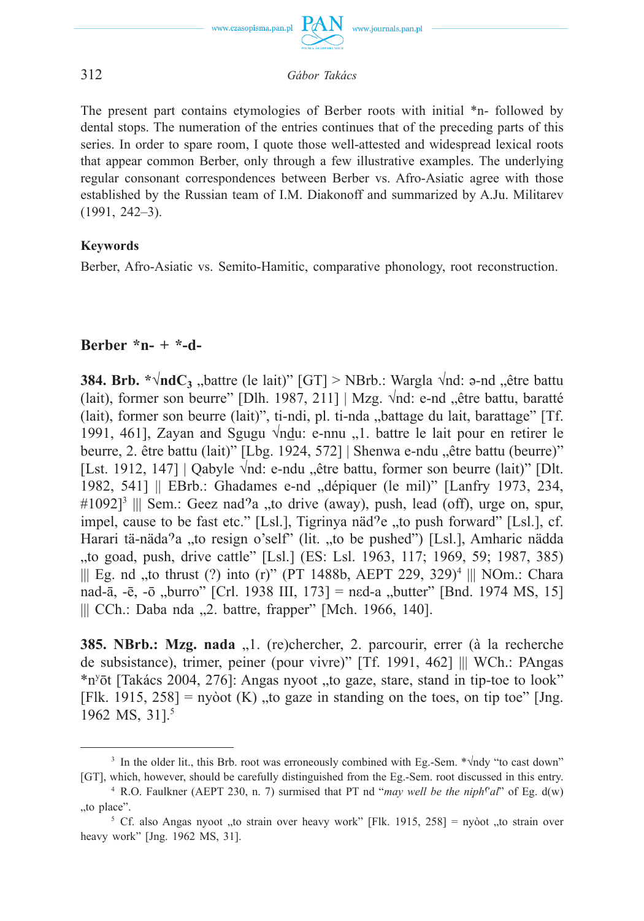

The present part contains etymologies of Berber roots with initial \*n- followed by dental stops. The numeration of the entries continues that of the preceding parts of this series. In order to spare room, I quote those well-attested and widespread lexical roots that appear common Berber, only through a few illustrative examples. The underlying regular consonant correspondences between Berber vs. Afro-Asiatic agree with those established by the Russian team of I.M. Diakonoff and summarized by A.Ju. Militarev (1991, 242–3).

# **Keywords**

Berber, Afro-Asiatic vs. Semito-Hamitic, comparative phonology, root reconstruction.

# **Berber \*n- + \*-d-**

**384. Brb. \*** $\sqrt{n}dC_3$  "battre (le lait)" [GT] > NBrb.: Wargla  $\sqrt{n}d$ : a-nd "être battu (lait), former son beurre" [Dlh. 1987, 211] | Mzg.  $\sqrt{nd}$ : e-nd "être battu, baratté (lait), former son beurre (lait)", ti-ndi, pl. ti-nda "battage du lait, barattage"  $[TF]$ . 1991, 461], Zayan and Sgugu  $\sqrt{nd}u$ : e-nnu , 1. battre le lait pour en retirer le beurre, 2. être battu (lait)" [Lbg. 1924, 572] | Shenwa e-ndu "être battu (beurre)" [Lst. 1912, 147] | Qabyle  $\forall$ nd: e-ndu "être battu, former son beurre (lait)" [Dlt. 1982, 541] || EBrb.: Ghadames e-nd "dépiquer (le mil)" [Lanfry 1973, 234, #1092]<sup>3</sup> ||| Sem.: Geez nad<sup>9</sup>a "to drive (away), push, lead (off), urge on, spur, impel, cause to be fast etc." [Lsl.], Tigrinya näd $2e$ , to push forward" [Lsl.], cf. Harari tä-näda<sup>9</sup>a "to resign o'self" (lit. "to be pushed") [Lsl.], Amharic nädda to goad, push, drive cattle" [Lsl.] (ES: Lsl. 1963, 117; 1969, 59; 1987, 385), to || Eg. nd ,,to thrust  $(?)$  into  $(r)$ " (PT 1488b, AEPT 229, 329)<sup>4</sup> ||| NOm.: Chara nad-ā, -ē, -ō "burro" [Crl. 1938 III, 173] = ned-a "butter" [Bnd. 1974 MS, 15]  $|||$  CCh.: Daba nda  $,2$ . battre, frapper" [Mch. 1966, 140].

**385. NBrb.: Mzg. nada** "1. (re)chercher, 2. parcourir, errer (à la recherche de subsistance), trimer, peiner (pour vivre)" [Tf. 1991, 462] ||| WCh.: PAngas \*n<sup>y</sup>ōt [Takács 2004, 276]: Angas nyoot "to gaze, stare, stand in tip-toe to look" [Flk. 1915, 258] = nyòot (K) "to gaze in standing on the toes, on tip toe" [Jng. 1962 MS, 31].<sup>5</sup>

<sup>3</sup> In the older lit., this Brb. root was erroneously combined with Eg.-Sem. \*√ndy "to cast down" [GT], which, however, should be carefully distinguished from the Eg.-Sem. root discussed in this entry.

<sup>&</sup>lt;sup>4</sup> R.O. Faulkner (AEPT 230, n. 7) surmised that PT nd "*may well be the niph<sup>r</sup>al*" of Eg. d(w) "to place".

<sup>&</sup>lt;sup>5</sup> Cf. also Angas nyoot "to strain over heavy work" [Flk. 1915, 258] = nyòot "to strain over heavy work" [Jng. 1962 MS, 31].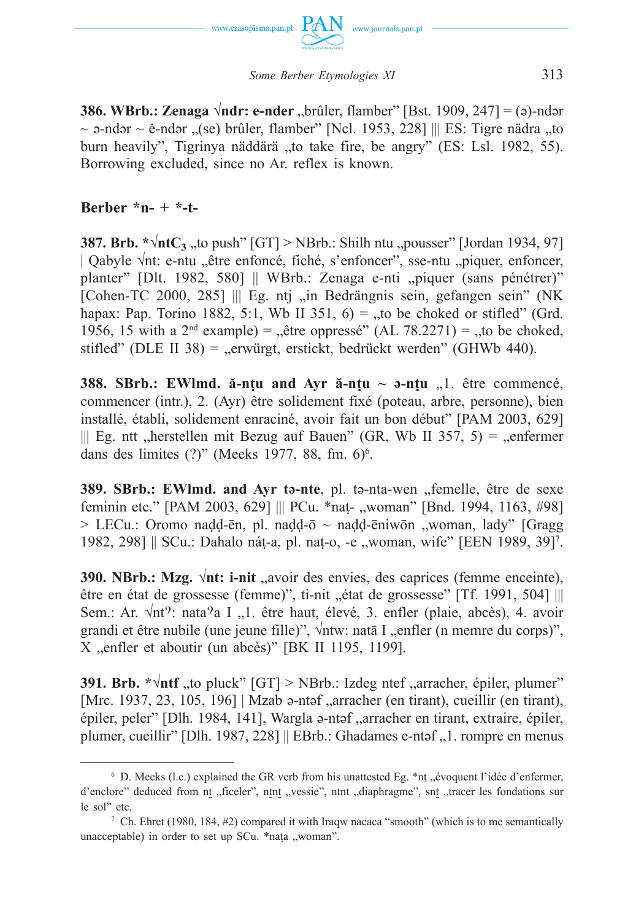

*Some Berber Etymologies XI* 313

**386. WBrb.: Zenaga √ndr: e-nder** "brûler, flamber" [Bst. 1909, 247] = (ə)-ndər  $\sim$  ə-ndər  $\sim$  ė-ndər  $\sqrt{s}$ (se) brûler, flamber" [Ncl. 1953, 228] ||| ES: Tigre nädra  $\sqrt{s}$ to burn heavily", Tigrinya näddärä "to take fire, be angry" (ES: Lsl. 1982, 55). Borrowing excluded, since no Ar. reflex is known.

# **Berber \*n- + \*-t-**

**387. Brb.**  $*\sqrt{\text{ntC}_3}$  to push"  $[GT] > NBrb$ .: Shilh ntu "pousser" [Jordan 1934, 97] | Qabyle √nt: e-ntu "être enfoncé, fiché, s'enfoncer", sse-ntu "piquer, enfoncer, planter" [Dlt. 1982, 580] || WBrb.: Zenaga e-nti "piquer (sans pénétrer)" [Cohen-TC 2000, 285]  $\parallel \parallel$  Eg. ntj "in Bedrängnis sein, gefangen sein" (NK hapax: Pap. Torino 1882, 5:1, Wb II 351,  $6$ ) = "to be choked or stifled" (Grd. 1956, 15 with a  $2<sup>nd</sup>$  example) = "être oppressé" (AL 78.2271) = "to be choked, stifled" (DLE II 38) = "erwürgt, erstickt, bedrückt werden" (GHWb 440).

**388. SBrb.: EWImd.**  $\check{a}$ **-nțu and Ayr**  $\check{a}$ **-nțu ~**  $\check{a}$ **-nțu**  $\Box$ **! être commencé,** commencer (intr.), 2. (Ayr) être solidement fixé (poteau, arbre, personne), bien installé, établi, solidement enraciné, avoir fait un bon début" [PAM 2003, 629] ||| Eg. ntt "herstellen mit Bezug auf Bauen" (GR, Wb II 357, 5) = "enfermer dans des limites  $(?)$ " (Meeks 1977, 88, fm. 6)<sup>6</sup>.

**389. SBrb.: EWlmd. and Ayr t<sub>2</sub>-nte**, pl. t<sub>2</sub>-nta-wen , femelle, être de sexe feminin etc." [PAM 2003, 629] ||| PCu. \*nat- "woman" [Bnd. 1994, 1163, #98]  $>$  LECu.: Oromo nadd-ēn, pl. nadd- $\bar{o} \sim$  nadd-ēniwōn "woman, lady" [Gragg] 1982, 298] || SCu.: Dahalo náṭ-a, pl. naṭ-o, -e "woman, wife" [EEN 1989, 39]<sup>7</sup>.

**390. NBrb.: Mzg.** √nt: **i-nit** "avoir des envies, des caprices (femme enceinte), être en état de grossesse (femme)", ti-nit "état de grossesse" [Tf. 1991, 504] ||| Sem.: Ar.  $\sqrt{nt}$ ?: nata<sup>9</sup>a I .,1. être haut, élevé, 3. enfler (plaie, abcès), 4. avoir grandi et être nubile (une jeune fille)",  $\sqrt{n}$ tw: natā I "enfler (n memre du corps)", X "enfler et aboutir (un abcès)" [BK II 1195, 1199].

**391. Brb.**  $*\sqrt{nt}$  , to pluck"  $[GT] > NBrb$ . Izdeg ntef , arracher, épiler, plumer" [Mrc. 1937, 23, 105, 196] | Mzab ə-ntəf "arracher (en tirant), cueillir (en tirant), épiler, peler" [Dlh. 1984, 141], Wargla a-ntaf "arracher en tirant, extraire, épiler, plumer, cueillir" [Dlh. 1987, 228] || EBrb.: Ghadames e-ntəf "1. rompre en menus

<sup>&</sup>lt;sup>6</sup> D. Meeks (l.c.) explained the GR verb from his unattested Eg.  $*$ nt "évoquent l'idée d'enfermer, d'enclore" deduced from nt "ficeler", ntnt "vessie", ntnt "diaphragme", snt "tracer les fondations sur le sol" etc.

<sup>&</sup>lt;sup>7</sup> Ch. Ehret (1980, 184, #2) compared it with Iraqw nacaca "smooth" (which is to me semantically unacceptable) in order to set up SCu. \*naṭa "woman".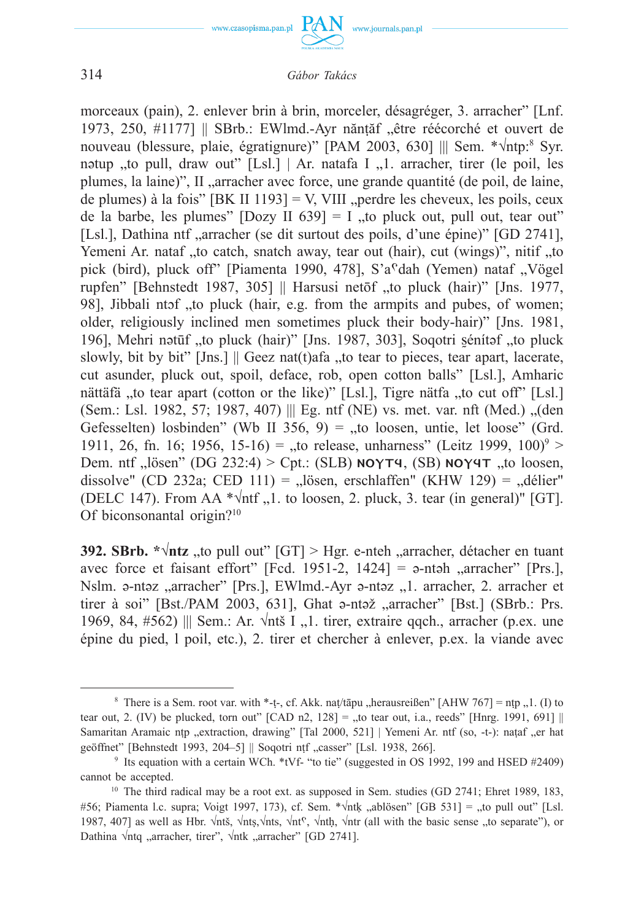

morceaux (pain), 2. enlever brin à brin, morceler, désagréger, 3. arracher" [Lnf. 1973, 250, #1177] || SBrb.: EWlmd.-Ayr năntăf "être réécorché et ouvert de nouveau (blessure, plaie, égratignure)" [PAM 2003, 630] ||| Sem. \*√ntp:<sup>8</sup> Syr. nətup "to pull, draw out"  $[Ls]$  | Ar. natafa I  $\ldots$ 1. arracher, tirer (le poil, les plumes, la laine)", II "arracher avec force, une grande quantité (de poil, de laine, de plumes) à la fois" [BK II 1193] = V, VIII "perdre les cheveux, les poils, ceux de la barbe, les plumes" [Dozy II 639] = I "to pluck out, pull out, tear out" [Lsl.], Dathina ntf "arracher (se dit surtout des poils, d'une épine)" [GD 2741], Yemeni Ar. nataf "to catch, snatch away, tear out (hair), cut (wings)", nitif "to pick (bird), pluck off" [Piamenta 1990, 478], S'a<sup>c</sup>dah (Yemen) nataf "Vögel rupfen" [Behnstedt 1987, 305] || Harsusi netōf "to pluck (hair)" [Jns. 1977, 98], Jibbali ntof , to pluck (hair, e.g. from the armpits and pubes, of women; older, religiously inclined men sometimes pluck their body-hair)" [Jns. 1981, 196], Mehri nətūf "to pluck (hair)" [Jns. 1987, 303], Soqotri sénítəf "to pluck slowly, bit by bit" [Jns.]  $\parallel$  Geez nat(t)afa , to tear to pieces, tear apart, lacerate, cut asunder, pluck out, spoil, deface, rob, open cotton balls" [Lsl.], Amharic nättäfä "to tear apart (cotton or the like)" [Lsl.], Tigre nätfa "to cut off" [Lsl.]  $(Sem.: Lsl. 1982, 57: 1987, 407)$  ||| Eg. ntf (NE) vs. met. var. nft (Med.)  $\Omega$  (den Gefesselten) losbinden" (Wb II 356, 9) = "to loosen, untie, let loose" (Grd. 1911, 26, fn. 16; 1956, 15-16) = "to release, unharness" (Leitz 1999, 100)<sup>9</sup> > Dem. ntf "lösen" (DG 232:4) > Cpt.: (SLB)  $NOT4$ , (SB)  $NOY4T$  "to loosen, dissolve" (CD 232a; CED 111) = "lösen, erschlaffen" (KHW 129) = "délier" (DELC 147). From AA \* $\sqrt{ntf}$ , 1. to loosen, 2. pluck, 3. tear (in general)" [GT]. Of biconsonantal origin?10

**392. SBrb.**  $*\sqrt{n}$ **tz** "to pull out" [GT] > Hgr. e-nteh "arracher, détacher en tuant avec force et faisant effort" [Fcd. 1951-2, 1424] =  $\alpha$ -nt $\alpha$ h "arracher" [Prs.], Nslm. a-ntəz "arracher" [Prs.], EWlmd.-Ayr a-ntəz "1. arracher, 2. arracher et tirer à soi" [Bst./PAM 2003, 631], Ghat a-ntaž "arracher" [Bst.] (SBrb.: Prs.) 1969, 84,  $#562$ ) ||| Sem.: Ar.  $\sqrt{nt}$  I ...1 tirer, extraire ggch., arracher (p.ex. une épine du pied, l poil, etc.), 2. tirer et chercher à enlever, p.ex. la viande avec

<sup>&</sup>lt;sup>8</sup> There is a Sem. root var. with \*-t-, cf. Akk. nat/tāpu "herausreißen" [AHW 767] = ntp  $\lceil$ , 1. (I) to tear out, 2. (IV) be plucked, torn out"  $[CAD n2, 128] =$  to tear out, i.a., reeds"  $[Hnrg, 1991, 691]$ Samaritan Aramaic ntp "extraction, drawing" [Tal 2000, 521] | Yemeni Ar. ntf (so, -t-): naṭaf "er hat geöffnet" [Behnstedt 1993, 204–5]  $\parallel$  Soqotri ntf , casser" [Lsl. 1938, 266].<br><sup>9</sup> Its equation with a certain WCh. \*tVf- "to tie" (suggested in OS 1992, 199 and HSED #2409)

cannot be accepted.

<sup>&</sup>lt;sup>10</sup> The third radical may be a root ext. as supposed in Sem. studies (GD 2741; Ehret 1989, 183, #56; Piamenta l.c. supra; Voigt 1997, 173), cf. Sem. \* $\sqrt{n}$ k, ablösen" [GB 531] = "to pull out" [Lsl. 1987, 407] as well as Hbr.  $\sqrt{n}$ tš,  $\sqrt{n}$ ts,  $\sqrt{n}$ ts,  $\sqrt{n}$ th,  $\sqrt{n}$ tr (all with the basic sense "to separate"), or Dathina  $\sqrt{ntq}$ , arracher, tirer",  $\sqrt{ntk}$ , arracher" [GD 2741].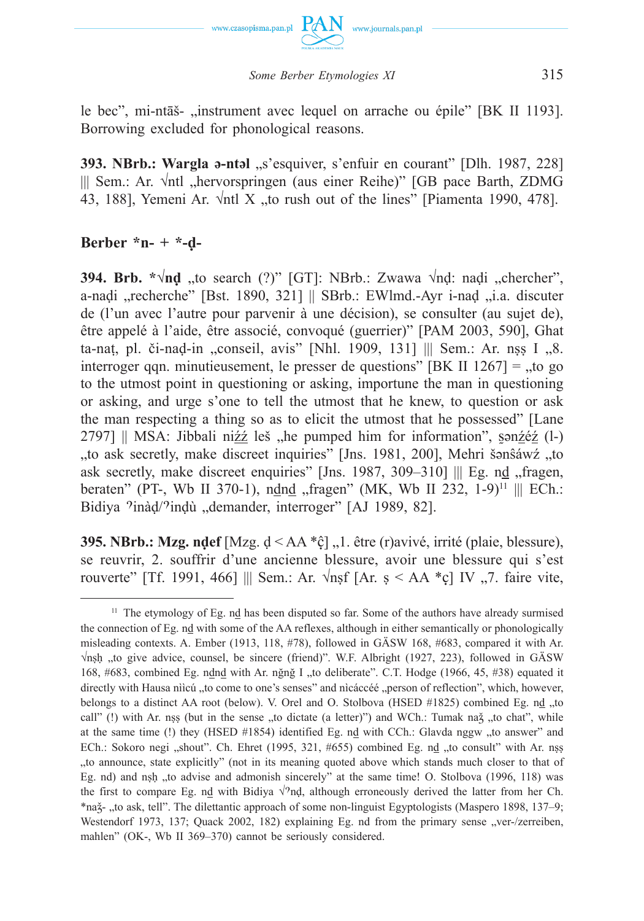

*Some Berber Etymologies XI* 315

le bec", mi-ntāš- "instrument avec lequel on arrache ou épile" [BK II 1193]. Borrowing excluded for phonological reasons.

**393. NBrb.: Wargla ə-ntəl** "s'esquiver, s'enfuir en courant" [Dlh. 1987, 228] ||| Sem.: Ar. √ntl "hervorspringen (aus einer Reihe)" [GB pace Barth, ZDMG 43, 188], Yemeni Ar.  $\sqrt{nt}$  X  $\sqrt{nt}$  to rush out of the lines" [Piamenta 1990, 478].

# **Berber \*n- + \*-ḍ-**

**394. Brb. \*√nd** "to search (?)" [GT]: NBrb.: Zwawa √nd: naḍi "chercher", a-naḍi "recherche" [Bst. 1890, 321] || SBrb.: EWlmd.-Ayr i-naḍ "i.a. discuter de (l'un avec l'autre pour parvenir à une décision), se consulter (au sujet de), être appelé à l'aide, être associé, convoqué (guerrier)" [PAM 2003, 590], Ghat ta-nat, pl. či-nad-in "conseil, avis" [Nhl. 1909, 131]  $\parallel$  Sem.: Ar. nss I  $\Box$ 8. interroger qqn. minutieusement, le presser de questions" [BK II  $1267$ ] =  $\mu$  to go to the utmost point in questioning or asking, importune the man in questioning or asking, and urge s'one to tell the utmost that he knew, to question or ask the man respecting a thing so as to elicit the utmost that he possessed" [Lane 2797]  $\parallel$  MSA: Jibbali ni $22$  leš "he pumped him for information", san $2e^{i\phi}$  (l-) "to ask secretly, make discreet inquiries" [Jns. 1981, 200], Mehri šənŝáwź, "to ask secretly, make discreet enquiries" [Jns. 1987, 309-310] ||| Eg. nd , fragen, beraten" (PT-, Wb II 370-1), ndnd "fragen" (MK, Wb II 232, 1-9)<sup>11</sup> ||| ECh.: Bidiya <sup>9</sup>inàd/<sup>9</sup>indù "demander, interroger" [AJ 1989, 82].

**395. NBrb.: Mzg. ndef** [Mzg. d ≤ AA \*¢] <sub>1</sub>, 0. être (r)avivé, irrité (plaie, blessure), se reuvrir, 2. souffrir d'une ancienne blessure, avoir une blessure qui s'est rouverte" [Tf. 1991, 466] ||| Sem.: Ar. √nṣf [Ar. s < AA \*ç] IV "7. faire vite,

 $11$  The etymology of Eg. nd has been disputed so far. Some of the authors have already surmised the connection of Eg. nd with some of the AA reflexes, although in either semantically or phonologically misleading contexts. A. Ember (1913, 118, #78), followed in GÄSW 168, #683, compared it with Ar.  $\sqrt{n}$ sh "to give advice, counsel, be sincere (friend)". W.F. Albright (1927, 223), followed in GÄSW 168, #683, combined Eg. ndnd with Ar. nğnğ I "to deliberate". C.T. Hodge (1966, 45, #38) equated it directly with Hausa nììcú "to come to one's senses" and nìcáccéé "person of reflection", which, however, belongs to a distinct AA root (below). V. Orel and O. Stolbova (HSED  $\#1825$ ) combined Eg. nd  $,$ to call" (!) with Ar. nss (but in the sense "to dictate (a letter)") and WCh.: Tumak na $\zeta$  "to chat", while at the same time (!) they (HSED #1854) identified Eg. nd with CCh.: Glavda nggw "to answer" and ECh.: Sokoro negi "shout". Ch. Ehret (1995, 321, #655) combined Eg. nd "to consult" with Ar. nṣṣ "to announce, state explicitly" (not in its meaning quoted above which stands much closer to that of Eg. nd) and nsh "to advise and admonish sincerely" at the same time! O. Stolbova (1996, 118) was the first to compare Eg. nd with Bidiya  $\sqrt{2}nl$ , although erroneously derived the latter from her Ch. \*naž-, to ask, tell". The dilettantic approach of some non-linguist Egyptologists (Maspero 1898, 137–9; Westendorf 1973, 137; Quack 2002, 182) explaining Eg. nd from the primary sense "ver-/zerreiben, mahlen" (OK-, Wb II 369–370) cannot be seriously considered.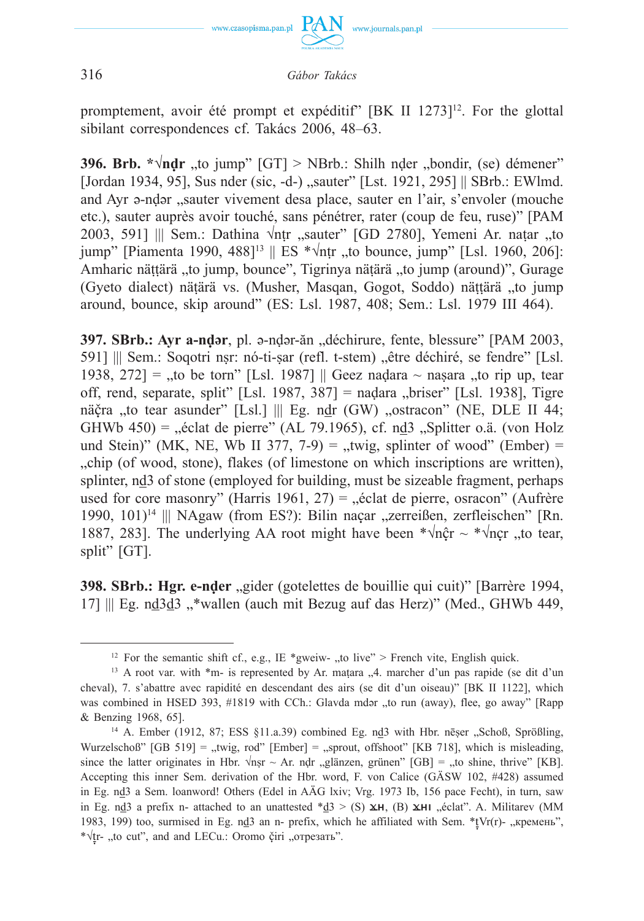

promptement, avoir été prompt et expéditif" [BK II 1273]<sup>12</sup>. For the glottal sibilant correspondences cf. Takács 2006, 48–63.

**396. Brb.**  $*\sqrt{\mathbf{a}}$  **to jump" [GT] > NBrb.: Shilh nder**  $\therefore$  **bondir, (se) démener"** [Jordan 1934, 95], Sus nder (sic, -d-), sauter" [Lst. 1921, 295] || SBrb.: EWlmd. and Ayr a-ndar "sauter vivement desa place, sauter en l'air, s'envoler (mouche etc.), sauter auprès avoir touché, sans pénétrer, rater (coup de feu, ruse)" [PAM 2003, 591] ||| Sem.: Dathina √ntr "sauter" [GD 2780], Yemeni Ar. natar "to jump" [Piamenta 1990, 488]<sup>13</sup> || ES \* $\sqrt{\pi}$ ntr ..to bounce, jump" [Lsl. 1960, 206]: Amharic näṭṭärä "to jump, bounce", Tigrinya näṭärä "to jump (around)", Gurage (Gyeto dialect) näṭärä vs. (Musher, Masqan, Gogot, Soddo) näṭṭärä "to jump around, bounce, skip around" (ES: Lsl. 1987, 408; Sem.: Lsl. 1979 III 464).

**397. SBrb.: Ayr a-nḍər**, pl. ə-nḍər-ăn "déchirure, fente, blessure" [PAM 2003, 591] ||| Sem.: Soqotri nsr: nó-ti-sar (refl. t-stem) "être déchiré, se fendre" [Lsl. 1938, 272] = "to be torn" [Lsl. 1987] || Geez nadara  $\sim$  nasara "to rip up, tear off, rend, separate, split" [Lsl. 1987, 387] = naḍara "briser" [Lsl. 1938], Tigre näčra "to tear asunder" [Lsl.] ||| Eg. ndr (GW) "ostracon" (NE, DLE II 44; GHWb  $450$ ) = "éclat de pierre" (AL 79.1965), cf. nd 3 "Splitter o.ä. (von Holz und Stein)" (MK, NE, Wb II 377, 7-9) = "twig, splinter of wood" (Ember) = "chip (of wood, stone), flakes (of limestone on which inscriptions are written), splinter, nd3 of stone (employed for building, must be sizeable fragment, perhaps used for core masonry" (Harris 1961,  $27$ ) = "éclat de pierre, osracon" (Aufrère 1990, 101)<sup>14</sup> ||| NAgaw (from ES?): Bilin nacar "zerreißen, zerfleischen" [Rn. 1887, 283]. The underlying AA root might have been  $*\sqrt{n}$   $\hat{c}$  r  $\sim$   $*\sqrt{n}$   $\hat{c}$  r  $\hat{c}$ , to tear, split" [GT].

**398. SBrb.: Hgr. e-nḍer** "gider (gotelettes de bouillie qui cuit)" [Barrère 1994, 17] ||| Eg. nd 3d 3, wallen (auch mit Bezug auf das Herz)" (Med., GHWb 449,

<sup>&</sup>lt;sup>12</sup> For the semantic shift cf., e.g., IE \*gweiw- ,,to live" > French vite, English quick.

<sup>&</sup>lt;sup>13</sup> A root var. with  $*$ m- is represented by Ar. matara  $\mathcal{A}$ . marcher d'un pas rapide (se dit d'un cheval), 7. s'abattre avec rapidité en descendant des airs (se dit d'un oiseau)" [BK II 1122], which was combined in HSED 393, #1819 with CCh.: Glavda mdar "to run (away), flee, go away" [Rapp & Benzing 1968, 65].

<sup>&</sup>lt;sup>14</sup> A. Ember (1912, 87; ESS §11.a.39) combined Eg. nd3 with Hbr. nēser "Schoß, Sprößling, Wurzelschoß"  $[GB 519] =$  "twig, rod"  $[Ember] =$  "sprout, offshoot"  $[KB 718]$ , which is misleading, since the latter originates in Hbr.  $\sqrt{n}$ sr ~ Ar. ndr "glänzen, grünen" [GB] = "to shine, thrive" [KB]. Accepting this inner Sem. derivation of the Hbr. word, F. von Calice (GÄSW 102, #428) assumed in Eg. nd3 a Sem. loanword! Others (Edel in AÄG lxiv; Vrg. 1973 Ib, 156 pace Fecht), in turn, saw in Eg. nd 3 a prefix n- attached to an unattested  $d \text{d} > (S) \times H$ , (B)  $\times H$ , eclat". A. Militarev (MM 1983, 199) too, surmised in Eg. nd3 an n- prefix, which he affiliated with Sem.  $*$ tVr(r)- "кремень", \* $\sqrt{tr}$ - "to cut", and and LECu.: Oromo čiri "отрезать".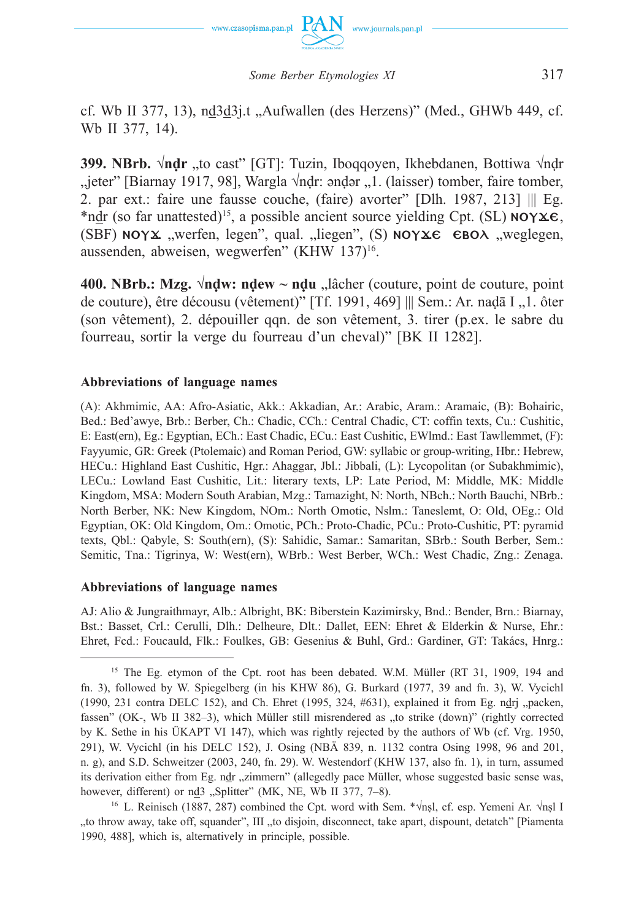

cf. Wb II 377, 13), nd3d3 $i$ t "Aufwallen (des Herzens)" (Med., GHWb 449, cf. Wb II 377, 14).

**399. NBrb. √nḍr** "to cast" [GT]: Tuzin, Iboqqoyen, Ikhebdanen, Bottiwa √nḍr  $j$ ieter" [Biarnay 1917, 98], Wargla  $\sqrt{ndr}$ : əndər  $j$ . (laisser) tomber, faire tomber, 2. par ext.: faire une fausse couche, (faire) avorter" [Dlh. 1987, 213] ||| Eg. \*ndr (so far unattested)<sup>15</sup>, a possible ancient source yielding Cpt. (SL)  $NOY \& E$ , (SBF)  $NOYX$  "werfen, legen", qual. "liegen", (S)  $NOYX \in BDOX$  "weglegen, aussenden, abweisen, wegwerfen" (KHW 137)16.

**400. NBrb.: Mzg.**  $\sqrt{n}$ **dw: ndew ~ ndu**  $\Box$  lâcher (couture, point de couture, point de couture), être décousu (vêtement)" [Tf. 1991, 469] ||| Sem.: Ar. naḍā I "1. ôter (son vêtement), 2. dépouiller qqn. de son vêtement, 3. tirer (p.ex. le sabre du fourreau, sortir la verge du fourreau d'un cheval)" [BK II 1282].

## **Abbreviations of language names**

(A): Akhmimic, AA: Afro-Asiatic, Akk.: Akkadian, Ar.: Arabic, Aram.: Aramaic, (B): Bohairic, Bed.: Bed'awye, Brb.: Berber, Ch.: Chadic, CCh.: Central Chadic, CT: coffin texts, Cu.: Cushitic, E: East(ern), Eg.: Egyptian, ECh.: East Chadic, ECu.: East Cushitic, EWlmd.: East Tawllemmet, (F): Fayyumic, GR: Greek (Ptolemaic) and Roman Period, GW: syllabic or group-writing, Hbr.: Hebrew, HECu.: Highland East Cushitic, Hgr.: Ahaggar, Jbl.: Jibbali, (L): Lycopolitan (or Subakhmimic), LECu.: Lowland East Cushitic, Lit.: literary texts, LP: Late Period, M: Middle, MK: Middle Kingdom, MSA: Modern South Arabian, Mzg.: Tamazight, N: North, NBch.: North Bauchi, NBrb.: North Berber, NK: New Kingdom, NOm.: North Omotic, Nslm.: Taneslemt, O: Old, OEg.: Old Egyptian, OK: Old Kingdom, Om.: Omotic, PCh.: Proto-Chadic, PCu.: Proto-Cushitic, PT: pyramid texts, Qbl.: Qabyle, S: South(ern), (S): Sahidic, Samar.: Samaritan, SBrb.: South Berber, Sem.: Semitic, Tna.: Tigrinya, W: West(ern), WBrb.: West Berber, WCh.: West Chadic, Zng.: Zenaga.

## **Abbreviations of language names**

AJ: Alio & Jungraithmayr, Alb.: Albright, BK: Biberstein Kazimirsky, Bnd.: Bender, Brn.: Biarnay, Bst.: Basset, Crl.: Cerulli, Dlh.: Delheure, Dlt.: Dallet, EEN: Ehret & Elderkin & Nurse, Ehr.: Ehret, Fcd.: Foucauld, Flk.: Foulkes, GB: Gesenius & Buhl, Grd.: Gardiner, GT: Takács, Hnrg.:

16 L. Reinisch (1887, 287) combined the Cpt. word with Sem. \*√nṣl, cf. esp. Yemeni Ar. √nṣl I "to throw away, take off, squander", III "to disjoin, disconnect, take apart, dispount, detatch" [Piamenta] 1990, 488], which is, alternatively in principle, possible.

<sup>&</sup>lt;sup>15</sup> The Eg. etymon of the Cpt. root has been debated. W.M. Müller (RT 31, 1909, 194 and fn. 3), followed by W. Spiegelberg (in his KHW 86), G. Burkard (1977, 39 and fn. 3), W. Vycichl (1990, 231 contra DELC 152), and Ch. Ehret (1995, 324,  $#631$ ), explained it from Eg. ndrj "packen, fassen" (OK-, Wb II 382–3), which Müller still misrendered as "to strike (down)" (rightly corrected by K. Sethe in his ÜKAPT VI 147), which was rightly rejected by the authors of Wb (cf. Vrg. 1950, 291), W. Vycichl (in his DELC 152), J. Osing (NBÄ 839, n. 1132 contra Osing 1998, 96 and 201, n. g), and S.D. Schweitzer (2003, 240, fn. 29). W. Westendorf (KHW 137, also fn. 1), in turn, assumed its derivation either from Eg. ndr "zimmern" (allegedly pace Müller, whose suggested basic sense was, however, different) or nd3 "Splitter" (MK, NE, Wb II 377, 7-8).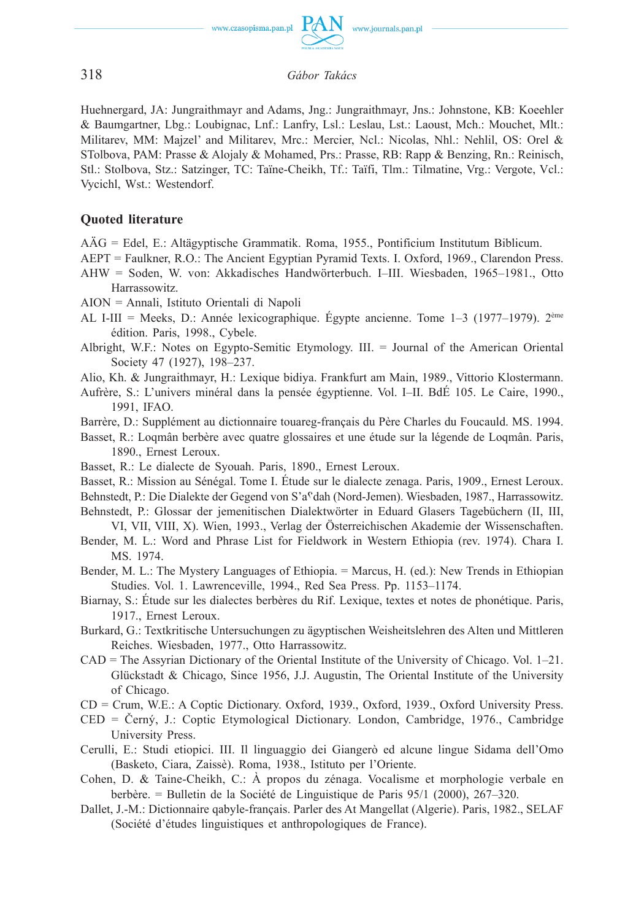

Huehnergard, JA: Jungraithmayr and Adams, Jng.: Jungraithmayr, Jns.: Johnstone, KB: Koeehler & Baumgartner, Lbg.: Loubignac, Lnf.: Lanfry, Lsl.: Leslau, Lst.: Laoust, Mch.: Mouchet, Mlt.: Militarev, MM: Majzel' and Militarev, Mrc.: Mercier, Ncl.: Nicolas, Nhl.: Nehlil, OS: Orel & STolbova, PAM: Prasse & Alojaly & Mohamed, Prs.: Prasse, RB: Rapp & Benzing, Rn.: Reinisch, Stl.: Stolbova, Stz.: Satzinger, TC: Taïne-Cheikh, Tf.: Taïfi, Tlm.: Tilmatine, Vrg.: Vergote, Vcl.: Vycichl, Wst.: Westendorf.

## **Quoted literature**

AÄG = Edel, E.: Altägyptische Grammatik. Roma, 1955., Pontificium Institutum Biblicum.

AEPT = Faulkner, R.O.: The Ancient Egyptian Pyramid Texts. I. Oxford, 1969., Clarendon Press.

AHW = Soden, W. von: Akkadisches Handwörterbuch. I–III. Wiesbaden, 1965–1981., Otto Harrassowitz.

AION = Annali, Istituto Orientali di Napoli

- AL I-III = Meeks, D.: Année lexicographique. Égypte ancienne. Tome 1–3 (1977–1979). 2ème édition. Paris, 1998., Cybele.
- Albright, W.F.: Notes on Egypto-Semitic Etymology. III. = Journal of the American Oriental Society 47 (1927), 198–237.
- Alio, Kh. & Jungraithmayr, H.: Lexique bidiya. Frankfurt am Main, 1989., Vittorio Klostermann.
- Aufrère, S.: L'univers minéral dans la pensée égyptienne. Vol. I–II. BdÉ 105. Le Caire, 1990., 1991, IFAO.
- Barrère, D.: Supplément au dictionnaire touareg-français du Père Charles du Foucauld. MS. 1994.
- Basset, R.: Loqmân berbère avec quatre glossaires et une étude sur la légende de Loqmân. Paris, 1890., Ernest Leroux.
- Basset, R.: Le dialecte de Syouah. Paris, 1890., Ernest Leroux.
- Basset, R.: Mission au Sénégal. Tome I. Étude sur le dialecte zenaga. Paris, 1909., Ernest Leroux.
- Behnstedt, P.: Die Dialekte der Gegend von S'a<sup>c</sup>dah (Nord-Jemen). Wiesbaden, 1987., Harrassowitz.
- Behnstedt, P.: Glossar der jemenitischen Dialektwörter in Eduard Glasers Tagebüchern (II, III, VI, VII, VIII, X). Wien, 1993., Verlag der Österreichischen Akademie der Wissenschaften.
- Bender, M. L.: Word and Phrase List for Fieldwork in Western Ethiopia (rev. 1974). Chara I. MS. 1974.
- Bender, M. L.: The Mystery Languages of Ethiopia. = Marcus, H. (ed.): New Trends in Ethiopian Studies. Vol. 1. Lawrenceville, 1994., Red Sea Press. Pp. 1153–1174.
- Biarnay, S.: Étude sur les dialectes berbères du Rif. Lexique, textes et notes de phonétique. Paris, 1917., Ernest Leroux.
- Burkard, G.: Textkritische Untersuchungen zu ägyptischen Weisheitslehren des Alten und Mittleren Reiches. Wiesbaden, 1977., Otto Harrassowitz.
- CAD = The Assyrian Dictionary of the Oriental Institute of the University of Chicago. Vol. 1–21. Glückstadt & Chicago, Since 1956, J.J. Augustin, The Oriental Institute of the University of Chicago.
- CD = Crum, W.E.: A Coptic Dictionary. Oxford, 1939., Oxford, 1939., Oxford University Press.
- CED = Černý, J.: Coptic Etymological Dictionary. London, Cambridge, 1976., Cambridge University Press.
- Cerulli, E.: Studi etiopici. III. Il linguaggio dei Giangerò ed alcune lingue Sidama dell'Omo (Basketo, Ciara, Zaissè). Roma, 1938., Istituto per l'Oriente.
- Cohen, D. & Taine-Cheikh, C.: À propos du zénaga. Vocalisme et morphologie verbale en berbère. = Bulletin de la Société de Linguistique de Paris 95/1 (2000), 267–320.
- Dallet, J.-M.: Dictionnaire qabyle-français. Parler des At Mangellat (Algerie). Paris, 1982., SELAF (Société d'études linguistiques et anthropologiques de France).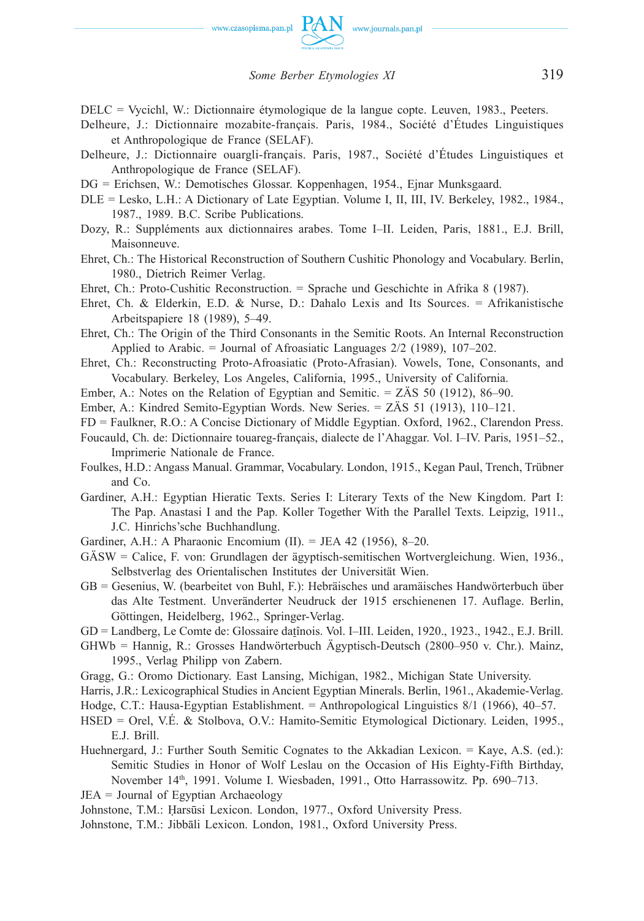

DELC = Vycichl, W.: Dictionnaire étymologique de la langue copte. Leuven, 1983., Peeters.

- Delheure, J.: Dictionnaire mozabite-français. Paris, 1984., Société d'Études Linguistiques et Anthropologique de France (SELAF).
- Delheure, J.: Dictionnaire ouargli-français. Paris, 1987., Société d'Études Linguistiques et Anthropologique de France (SELAF).
- DG = Erichsen, W.: Demotisches Glossar. Koppenhagen, 1954., Ejnar Munksgaard.
- DLE = Lesko, L.H.: A Dictionary of Late Egyptian. Volume I, II, III, IV. Berkeley, 1982., 1984., 1987., 1989. B.C. Scribe Publications.
- Dozy, R.: Suppléments aux dictionnaires arabes. Tome I–II. Leiden, Paris, 1881., E.J. Brill, Maisonneuve.
- Ehret, Ch.: The Historical Reconstruction of Southern Cushitic Phonology and Vocabulary. Berlin, 1980., Dietrich Reimer Verlag.
- Ehret, Ch.: Proto-Cushitic Reconstruction. = Sprache und Geschichte in Afrika 8 (1987).
- Ehret, Ch. & Elderkin, E.D. & Nurse, D.: Dahalo Lexis and Its Sources. = Afrikanistische Arbeitspapiere 18 (1989), 5–49.
- Ehret, Ch.: The Origin of the Third Consonants in the Semitic Roots. An Internal Reconstruction Applied to Arabic. = Journal of Afroasiatic Languages 2/2 (1989), 107–202.
- Ehret, Ch.: Reconstructing Proto-Afroasiatic (Proto-Afrasian). Vowels, Tone, Consonants, and Vocabulary. Berkeley, Los Angeles, California, 1995., University of California.
- Ember, A.: Notes on the Relation of Egyptian and Semitic. = ZÄS 50 (1912), 86–90.
- Ember, A.: Kindred Semito-Egyptian Words. New Series. = ZÄS 51 (1913), 110–121.
- FD = Faulkner, R.O.: A Concise Dictionary of Middle Egyptian. Oxford, 1962., Clarendon Press.
- Foucauld, Ch. de: Dictionnaire touareg-français, dialecte de l'Ahaggar. Vol. I–IV. Paris, 1951–52., Imprimerie Nationale de France.
- Foulkes, H.D.: Angass Manual. Grammar, Vocabulary. London, 1915., Kegan Paul, Trench, Trübner and Co.
- Gardiner, A.H.: Egyptian Hieratic Texts. Series I: Literary Texts of the New Kingdom. Part I: The Pap. Anastasi I and the Pap. Koller Together With the Parallel Texts. Leipzig, 1911., J.C. Hinrichs'sche Buchhandlung.
- Gardiner, A.H.: A Pharaonic Encomium (II). = JEA 42 (1956), 8–20.
- GÄSW = Calice, F. von: Grundlagen der ägyptisch-semitischen Wortvergleichung. Wien, 1936., Selbstverlag des Orientalischen Institutes der Universität Wien.
- GB = Gesenius, W. (bearbeitet von Buhl, F.): Hebräisches und aramäisches Handwörterbuch über das Alte Testment. Unveränderter Neudruck der 1915 erschienenen 17. Auflage. Berlin, Göttingen, Heidelberg, 1962., Springer-Verlag.
- GD = Landberg, Le Comte de: Glossaire datînois. Vol. I–III. Leiden, 1920., 1923., 1942., E.J. Brill.
- GHWb = Hannig, R.: Grosses Handwörterbuch Ägyptisch-Deutsch (2800–950 v. Chr.). Mainz, 1995., Verlag Philipp von Zabern.
- Gragg, G.: Oromo Dictionary. East Lansing, Michigan, 1982., Michigan State University.
- Harris, J.R.: Lexicographical Studies in Ancient Egyptian Minerals. Berlin, 1961., Akademie-Verlag.
- Hodge, C.T.: Hausa-Egyptian Establishment. = Anthropological Linguistics 8/1 (1966), 40–57.
- HSED = Orel, V.É. & Stolbova, O.V.: Hamito-Semitic Etymological Dictionary. Leiden, 1995., E.J. Brill.
- Huehnergard, J.: Further South Semitic Cognates to the Akkadian Lexicon. = Kaye, A.S. (ed.): Semitic Studies in Honor of Wolf Leslau on the Occasion of His Eighty-Fifth Birthday, November 14<sup>th</sup>, 1991. Volume I. Wiesbaden, 1991., Otto Harrassowitz. Pp. 690–713.
- JEA = Journal of Egyptian Archaeology
- Johnstone, T.M.: Ḥarsūsi Lexicon. London, 1977., Oxford University Press.
- Johnstone, T.M.: Jibbāli Lexicon. London, 1981., Oxford University Press.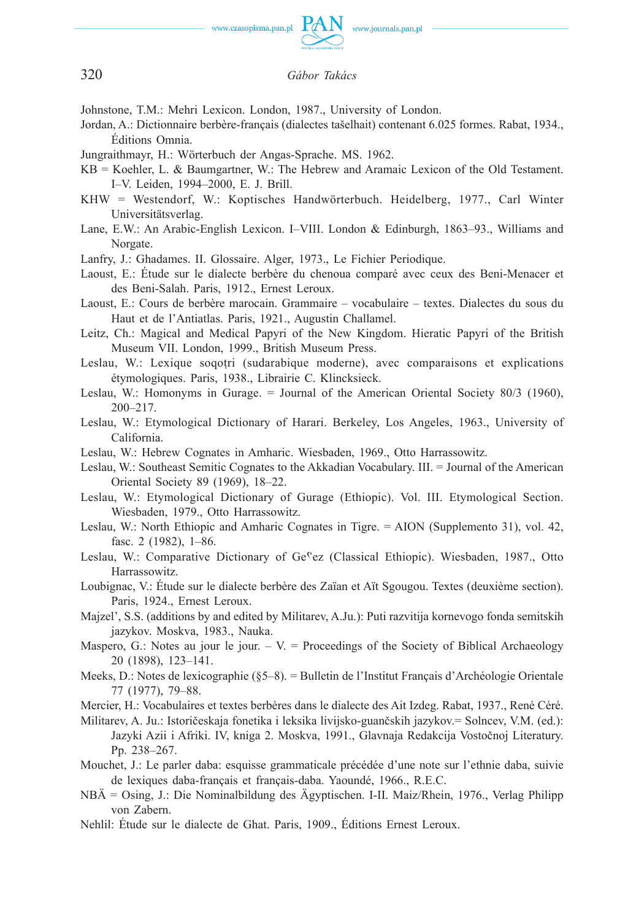

Johnstone, T.M.: Mehri Lexicon. London, 1987., University of London.

- Jordan, A.: Dictionnaire berbère-français (dialectes tašelhait) contenant 6.025 formes. Rabat, 1934., Éditions Omnia.
- Jungraithmayr, H.: Wörterbuch der Angas-Sprache. MS. 1962.
- KB = Koehler, L. & Baumgartner, W.: The Hebrew and Aramaic Lexicon of the Old Testament. I–V. Leiden, 1994–2000, E. J. Brill.
- KHW = Westendorf, W.: Koptisches Handwörterbuch. Heidelberg, 1977., Carl Winter Universitätsverlag.
- Lane, E.W.: An Arabic-English Lexicon. I–VIII. London & Edinburgh, 1863–93., Williams and Norgate.
- Lanfry, J.: Ghadames. II. Glossaire. Alger, 1973., Le Fichier Periodique.
- Laoust, E.: Étude sur le dialecte berbère du chenoua comparé avec ceux des Beni-Menacer et des Beni-Salah. Paris, 1912., Ernest Leroux.
- Laoust, E.: Cours de berbère marocain. Grammaire vocabulaire textes. Dialectes du sous du Haut et de l'Antiatlas. Paris, 1921., Augustin Challamel.
- Leitz, Ch.: Magical and Medical Papyri of the New Kingdom. Hieratic Papyri of the British Museum VII. London, 1999., British Museum Press.
- Leslau, W.: Lexique soqotri (sudarabique moderne), avec comparaisons et explications étymologiques. Paris, 1938., Librairie C. Klincksieck.
- Leslau, W.: Homonyms in Gurage. = Journal of the American Oriental Society 80/3 (1960), 200–217.
- Leslau, W.: Etymological Dictionary of Harari. Berkeley, Los Angeles, 1963., University of California.
- Leslau, W.: Hebrew Cognates in Amharic. Wiesbaden, 1969., Otto Harrassowitz.
- Leslau, W.: Southeast Semitic Cognates to the Akkadian Vocabulary. III. = Journal of the American Oriental Society 89 (1969), 18–22.
- Leslau, W.: Etymological Dictionary of Gurage (Ethiopic). Vol. III. Etymological Section. Wiesbaden, 1979., Otto Harrassowitz.
- Leslau, W.: North Ethiopic and Amharic Cognates in Tigre. = AION (Supplemento 31), vol. 42, fasc. 2 (1982), 1–86.
- Leslau, W.: Comparative Dictionary of  $Ge<sup>c</sup>ez$  (Classical Ethiopic). Wiesbaden, 1987., Otto Harrassowitz.
- Loubignac, V.: Étude sur le dialecte berbère des Zaïan et Aït Sgougou. Textes (deuxième section). Paris, 1924., Ernest Leroux.
- Majzel', S.S. (additions by and edited by Militarev, A.Ju.): Puti razvitija kornevogo fonda semitskih jazykov. Moskva, 1983., Nauka.
- Maspero, G.: Notes au jour le jour.  $-V =$  Proceedings of the Society of Biblical Archaeology 20 (1898), 123–141.
- Meeks, D.: Notes de lexicographie (§5–8). = Bulletin de l'Institut Français d'Archéologie Orientale 77 (1977), 79–88.
- Mercier, H.: Vocabulaires et textes berbères dans le dialecte des Ait Izdeg. Rabat, 1937., René Céré.
- Militarev, A. Ju.: Istoričeskaja fonetika i leksika livijsko-guančskih jazykov.= Solncev, V.M. (ed.): Jazyki Azii i Afriki. IV, kniga 2. Moskva, 1991., Glavnaja Redakcija Vostočnoj Literatury. Pp. 238–267.
- Mouchet, J.: Le parler daba: esquisse grammaticale précédée d'une note sur l'ethnie daba, suivie de lexiques daba-français et français-daba. Yaoundé, 1966., R.E.C.
- NBÄ = Osing, J.: Die Nominalbildung des Ägyptischen. I-II. Maiz/Rhein, 1976., Verlag Philipp von Zabern.
- Nehlil: Étude sur le dialecte de Ghat. Paris, 1909., Éditions Ernest Leroux.